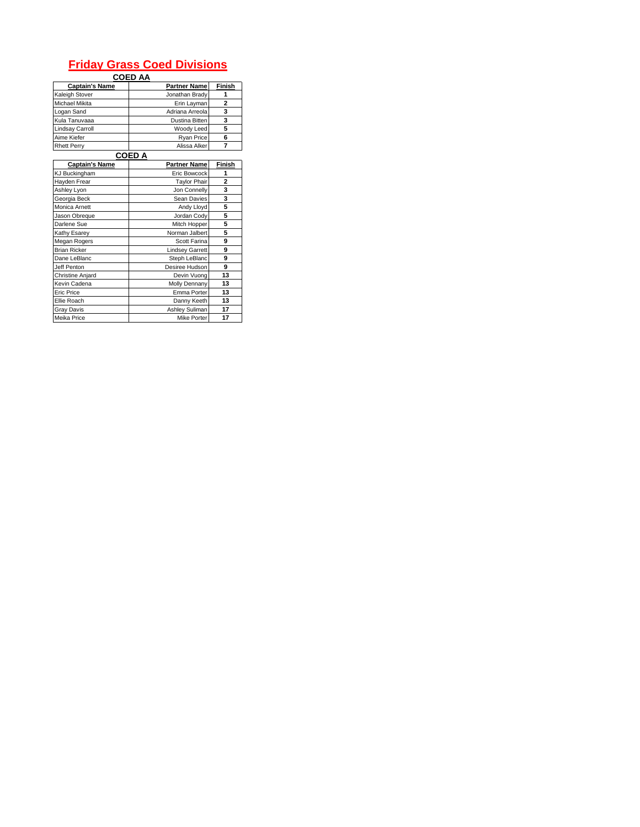## **Friday Grass Coed Divisions**

|                        | <b>COED AA</b>         |                |
|------------------------|------------------------|----------------|
| <b>Captain's Name</b>  | <b>Partner Name</b>    | <b>Finish</b>  |
| Kaleigh Stover         | Jonathan Brady         | 1              |
| Michael Mikita         | Erin Layman            | $\overline{a}$ |
| Logan Sand             | Adriana Arreola        | 3              |
| Kula Tanuvaaa          | Dustina Bitten         | 3              |
| <b>Lindsay Carroll</b> | Woody Leed             | 5              |
| Aime Kiefer            | Ryan Price             | 6              |
| <b>Rhett Perry</b>     | Alissa Alker           | $\overline{7}$ |
|                        | COED A                 |                |
| <b>Captain's Name</b>  | <b>Partner Name</b>    | Finish         |
| KJ Buckingham          | Eric Bowcock           | 1              |
| Hayden Frear           | <b>Taylor Phair</b>    | $\overline{a}$ |
| Ashley Lyon            | Jon Connelly           | 3              |
| Georgia Beck           | Sean Davies            | 3              |
| Monica Arnett          | Andy Lloyd             | 5              |
| Jason Obreque          | Jordan Cody            | 5              |
| Darlene Sue            | Mitch Hopper           | 5              |
| Kathy Esarey           | Norman Jalbert         | 5              |
| Megan Rogers           | Scott Farina           | 9              |
| <b>Brian Ricker</b>    | <b>Lindsey Garrett</b> | 9              |
| Dane LeBlanc           | Steph LeBlanc          | 9              |
| Jeff Penton            | Desiree Hudson         | 9              |
| Christine Anjard       | Devin Vuong            | 13             |
| Kevin Cadena           | Molly Dennany          | 13             |
| Eric Price             | Emma Porter            | 13             |
| Ellie Roach            | Danny Keeth            | 13             |
| <b>Gray Davis</b>      | Ashley Suliman         | 17             |
| Meika Price            | Mike Porter            | 17             |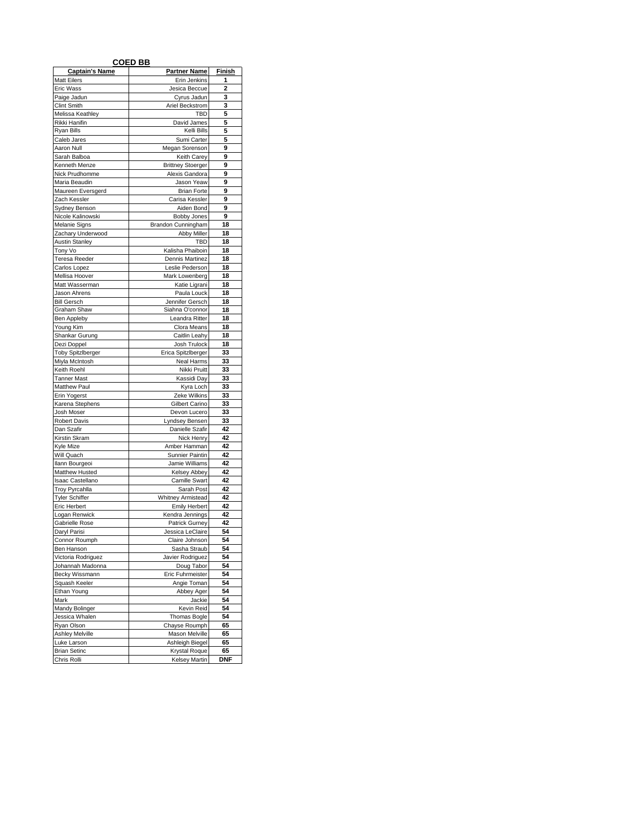|                                    | <b>COED BB</b>                     |                |
|------------------------------------|------------------------------------|----------------|
| <b>Captain's Name</b>              | <b>Partner Name</b>                | Finish         |
| <b>Matt Eilers</b>                 | Erin Jenkins                       | 1              |
| <b>Eric Wass</b>                   | Jesica Beccue                      | $\overline{2}$ |
| Paige Jadun                        | Cyrus Jadun                        | 3              |
| <b>Clint Smith</b>                 | Ariel Beckstrom                    | 3              |
| Melissa Keathley                   | TBD                                | 5              |
| Rikki Hanifin<br>Ryan Bills        | David James<br>Kelli Bills         | 5<br>5         |
| Caleb Jares                        | Sumi Carter                        | 5              |
| Aaron Null                         | Megan Sorenson                     | 9              |
| Sarah Balboa                       | <b>Keith Carey</b>                 | 9              |
| Kenneth Menze                      | <b>Brittney Stoerger</b>           | 9              |
| Nick Prudhomme                     | Alexis Gandora                     | 9              |
| Maria Beaudin                      | Jason Yeaw                         | 9              |
| Maureen Eversgerd                  | <b>Brian Forte</b>                 | 9              |
| Zach Kessler                       | Carisa Kessler                     | 9<br>9         |
| Sydney Benson<br>Nicole Kalinowski | Aiden Bond<br><b>Bobby Jones</b>   | 9              |
| Melanie Signs                      | Brandon Cunningham                 | 18             |
| Zachary Underwood                  | <b>Abby Miller</b>                 | 18             |
| <b>Austin Stanley</b>              | TBD                                | 18             |
| Tony Vo                            | Kalisha Phaiboin                   | 18             |
| Teresa Reeder                      | Dennis Martinez                    | 18             |
| Carlos Lopez                       | Leslie Pederson                    | 18             |
| Mellisa Hoover                     | Mark Lowenberg                     | 18             |
| Matt Wasserman                     | Katie Ligrani                      | 18             |
| Jason Ahrens                       | Paula Louck                        | 18             |
| <b>Bill Gersch</b><br>Graham Shaw  | Jennifer Gersch<br>Siahna O'connor | 18<br>18       |
| Ben Appleby                        | Leandra Ritter                     | 18             |
| Young Kim                          | Clora Means                        | 18             |
| Shankar Gurung                     | Caitlin Leahy                      | 18             |
| Dezi Doppel                        | Josh Trulock                       | 18             |
| <b>Toby SpitzIberger</b>           | Erica Spitzlberger                 | 33             |
| Miyla McIntosh                     | Neal Harms                         | 33             |
| Keith Roehl                        | Nikki Pruitt                       | 33             |
| <b>Tanner Mast</b><br>Matthew Paul | Kassidi Day<br>Kyra Loch           | 33<br>33       |
| Erin Yogerst                       | Zeke Wilkins                       | 33             |
| Karena Stephens                    | Gilbert Carino                     | 33             |
| Josh Moser                         | Devon Lucero                       | 33             |
| <b>Robert Davis</b>                | Lyndsey Bensen                     | 33             |
| Dan Szafir                         | Danielle Szafir                    | 42             |
| Kirstin Skram                      | Nick Henry                         | 42             |
| Kyle Mize                          | Amber Hamman                       | 42             |
| Will Quach                         | Sunnier Paintin                    | 42<br>42       |
| Ilann Bourgeoi<br>Matthew Husted   | Jamie Williams<br>Kelsey Abbey     | 42             |
| Isaac Castellano                   | Camille Swart                      | 42             |
| <b>Troy Pyrcahlla</b>              | Sarah Post                         | 42             |
| <b>Tyler Schiffer</b>              | <b>Whitney Armistead</b>           | 42             |
| <b>Eric Herbert</b>                | <b>Emily Herbert</b>               | 42             |
| Logan Renwick                      | Kendra Jennings                    | 42             |
| Gabrielle Rose                     | <b>Patrick Gurney</b>              | 42             |
| Daryl Parisi                       | Jessica LeClaire                   | 54             |
| Connor Roumph<br>Ben Hanson        | Claire Johnson<br>Sasha Straub     | 54<br>54       |
| Victoria Rodriguez                 | Javier Rodriguez                   | 54             |
| Johannah Madonna                   | Doug Tabor                         | 54             |
| Becky Wissmann                     | Eric Fuhrmeister                   | 54             |
| Squash Keeler                      | Angie Toman                        | 54             |
| Ethan Young                        | Abbey Ager                         | 54             |
| Mark                               | Jackie                             | 54             |
| Mandy Bolinger                     | Kevin Reid                         | 54             |
| Jessica Whalen                     | Thomas Bogle                       | 54             |
| Ryan Olson<br>Ashley Melville      | Chayse Roumph<br>Mason Melville    | 65<br>65       |
| Luke Larson                        | Ashleigh Biegel                    | 65             |
| <b>Brian Setinc</b>                | Krystal Roque                      | 65             |
| Chris Rolli                        | Kelsey Martin                      | <b>DNF</b>     |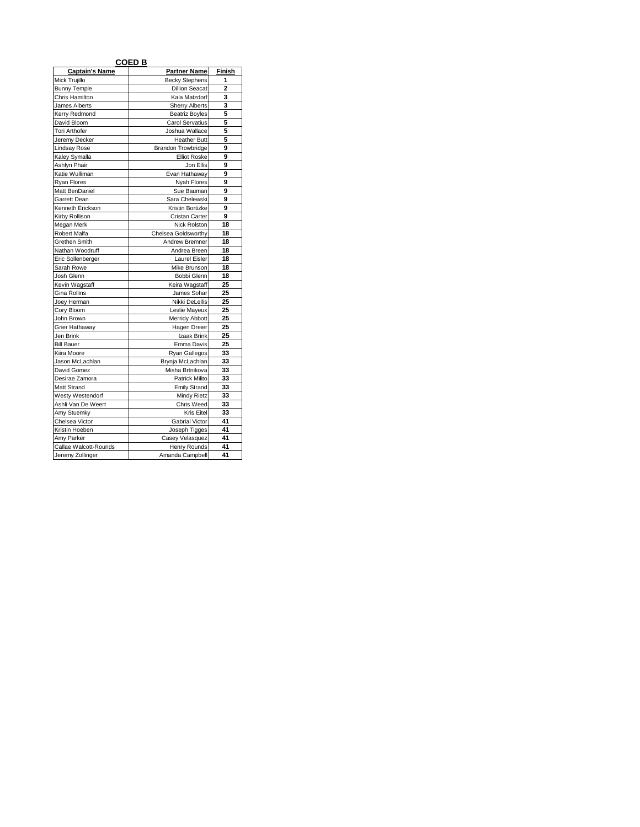|                       | <b>COED B</b>         |                |
|-----------------------|-----------------------|----------------|
| <b>Captain's Name</b> | <b>Partner Name</b>   | <b>Finish</b>  |
| Mick Trujillo         | <b>Becky Stephens</b> | 1              |
| <b>Bunny Temple</b>   | <b>Dillion Seacat</b> | $\overline{2}$ |
| Chris Hamilton        | Kala Matzdorf         | 3              |
| James Alberts         | <b>Sherry Alberts</b> | 3              |
| Kerry Redmond         | <b>Beatriz Boyles</b> | 5              |
| David Bloom           | Carol Servatius       | 5              |
| <b>Tori Arthofer</b>  | Joshua Wallace        | 5              |
| Jeremy Decker         | <b>Heather Butt</b>   | 5              |
| <b>Lindsay Rose</b>   | Brandon Trowbridge    | 9              |
| Kaley Symalla         | <b>Elliot Roske</b>   | 9              |
| Ashlyn Phair          | Jon Ellis             | 9              |
| Katie Wulliman        | Evan Hathaway         | 9              |
| <b>Ryan Flores</b>    | Nyah Flores           | 9              |
| Matt BenDaniel        | Sue Bauman            | 9              |
| Garrett Dean          | Sara Chelewski        | 9              |
| Kenneth Erickson      | Kristin Bortizke      | 9              |
| Kirby Rollison        | Cristan Carter        | 9              |
| Megan Merk            | Nick Rolston          | 18             |
| Robert Malfa          | Chelsea Goldsworthy   | 18             |
| Grethen Smith         | Andrew Bremner        | 18             |
| Nathan Woodruff       | Andrea Breen          | 18             |
| Eric Sollenberger     | Laurel Eisler         | 18             |
| Sarah Rowe            | Mike Brunson          | 18             |
| Josh Glenn            | Bobbi Glenn           | 18             |
| Kevin Wagstaff        | Keira Wagstaff        | 25             |
| Gina Rollins          | James Sohar           | 25             |
| Joey Herman           | Nikki DeLellis        | 25             |
| Cory Bloom            | Leslie Mayeux         | 25             |
| John Brown            | Merridy Abbott        | 25             |
| Grier Hathaway        | Hagen Dreier          | 25             |
| Jen Brink             | Izaak Brink           | 25             |
| <b>Bill Bauer</b>     | Emma Davis            | 25             |
| Kiira Moore           | Ryan Gallegos         | 33             |
| Jason McLachlan       | Brynja McLachlan      | 33             |
| David Gomez           | Misha Brtnikova       | 33             |
| Desirae Zamora        | Patrick Milito        | 33             |
| Matt Strand           | <b>Emily Strand</b>   | 33             |
| Westy Westendorf      | Mindy Rietz           | 33             |
| Ashli Van De Weert    | Chris Weed            | 33             |
| Amy Stuemky           | Kris Eitel            | 33             |
| Chelsea Victor        | Gabrial Victor        | 41             |
| Kristin Hoeben        | Joseph Tigges         | 41             |
| Amv Parker            | Casey Velasquez       | 41             |
| Callae Walcott-Rounds | Henry Rounds          | 41             |
| Jeremy Zollinger      | Amanda Campbell       | 41             |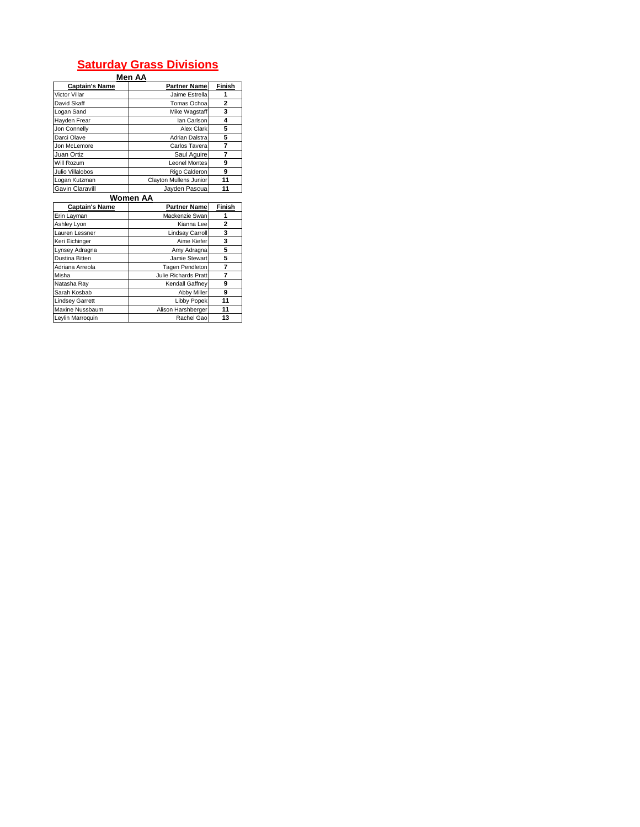## **Saturday Grass Divisions**

|                       | Men AA                 |        |
|-----------------------|------------------------|--------|
| <b>Captain's Name</b> | <b>Partner Name</b>    | Finish |
| Victor Villar         | Jaime Estrella         |        |
| David Skaff           | Tomas Ochoa            | 2      |
| Logan Sand            | Mike Wagstaff          | 3      |
| Hayden Frear          | lan Carlson            | 4      |
| Jon Connelly          | Alex Clark             | 5      |
| Darci Olave           | Adrian Dalstra         | 5      |
| Jon McLemore          | Carlos Tavera          |        |
| Juan Ortiz            | Saul Aguire            |        |
| Will Rozum            | <b>Leonel Montes</b>   | 9      |
| Julio Villalobos      | Rigo Calderon          | 9      |
| Logan Kutzman         | Clayton Mullens Junior | 11     |
| Gavin Claravill       | Javden Pascua          | 11     |

|                        | Women AA             |        |
|------------------------|----------------------|--------|
| <b>Captain's Name</b>  | <b>Partner Name</b>  | Finish |
| Erin Layman            | Mackenzie Swan       |        |
| Ashley Lyon            | Kianna Lee           | 2      |
| Lauren Lessner         | Lindsay Carroll      | 3      |
| Keri Eichinger         | Aime Kiefer          | 3      |
| Lynsey Adragna         | Amy Adragna          | 5      |
| Dustina Bitten         | Jamie Stewart        | 5      |
| Adriana Arreola        | Tagen Pendleton      | 7      |
| Misha                  | Julie Richards Pratt | 7      |
| Natasha Ray            | Kendall Gaffnev      | 9      |
| Sarah Kosbab           | Abby Miller          | 9      |
| <b>Lindsey Garrett</b> | <b>Libby Popek</b>   | 11     |
| Maxine Nussbaum        | Alison Harshberger   | 11     |
| Leylin Marroquin       | Rachel Gao           | 13     |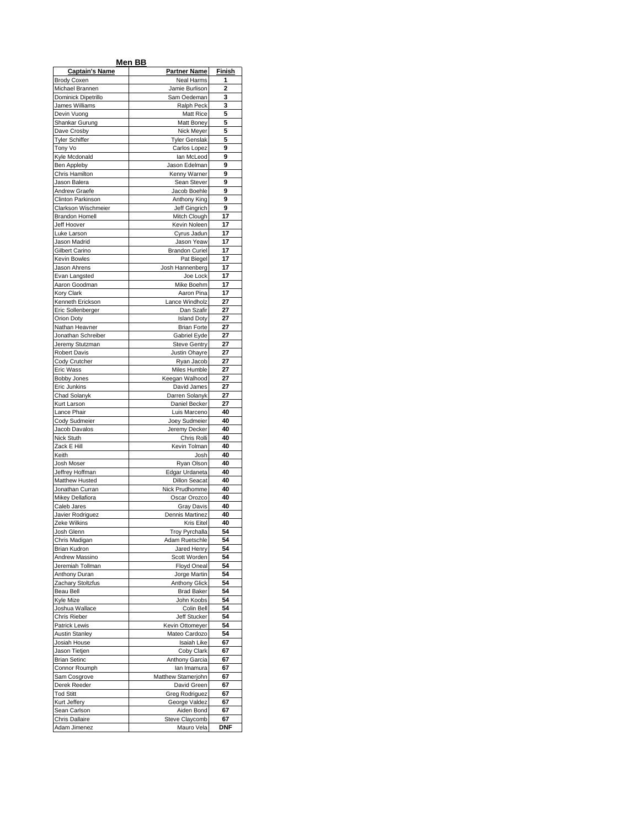|                                       | Men BB                             |          |
|---------------------------------------|------------------------------------|----------|
| <b>Captain's Name</b>                 | <b>Partner Name</b>                | Finish   |
| <b>Brody Coxen</b><br>Michael Brannen | Neal Harms<br>Jamie Burlison       | 1<br>2   |
| Dominick Dipetrillo                   | Sam Oedeman                        | 3        |
| James Williams                        | Ralph Peck                         | 3        |
| Devin Vuong                           | Matt Rice                          | 5        |
| Shankar Gurung                        | Matt Boney                         | 5        |
| Dave Crosby<br><b>Tyler Schiffer</b>  | Nick Meyer<br><b>Tyler Genslak</b> | 5<br>5   |
| Tony Vo                               | Carlos Lopez                       | 9        |
| Kyle Mcdonald                         | lan McLeod                         | 9        |
| Ben Appleby<br>Chris Hamilton         | Jason Edelman                      | 9<br>9   |
| Jason Balera                          | Kenny Warner<br>Sean Stever        | 9        |
| Andrew Graefe                         | Jacob Boehle                       | 9        |
| Clinton Parkinson                     | Anthony King                       | 9        |
| Clarkson Wischmeier                   | Jeff Gingrich                      | 9<br>17  |
| <b>Brandon Homell</b><br>Jeff Hoover  | Mitch Clough<br>Kevin Noleen       | 17       |
| Luke Larson                           | Cyrus Jadun                        | 17       |
| Jason Madrid                          | Jason Yeaw                         | 17       |
| Gilbert Carino                        | <b>Brandon Curiel</b>              | 17       |
| Kevin Bowles<br>Jason Ahrens          | Pat Biegel<br>Josh Hannenberg      | 17<br>17 |
| Evan Langsted                         | Joe Lock                           | 17       |
| Aaron Goodman                         | Mike Boehm                         | 17       |
| Kory Clark                            | Aaron Pina                         | 17       |
| Kenneth Erickson                      | Lance Windholz                     | 27<br>27 |
| Eric Sollenberger<br>Orion Doty       | Dan Szafir<br><b>Island Doty</b>   | 27       |
| Nathan Heavner                        | <b>Brian Forte</b>                 | 27       |
| Jonathan Schreiber                    | Gabriel Eyde                       | 27       |
| Jeremy Stutzman                       | <b>Steve Gentry</b>                | 27       |
| <b>Robert Davis</b><br>Cody Crutcher  | Justin Ohayre<br>Ryan Jacob        | 27<br>27 |
| Eric Wass                             | Miles Humble                       | 27       |
| <b>Bobby Jones</b>                    | Keegan Walhood                     | 27       |
| Eric Junkins                          | David James                        | 27       |
| Chad Solanyk<br>Kurt Larson           | Darren Solanyk                     | 27<br>27 |
| Lance Phair                           | Daniel Becker<br>Luis Marceno      | 40       |
| Cody Sudmeier                         | Joey Sudmeier                      | 40       |
| Jacob Davalos                         | Jeremy Decker                      | 40       |
| Nick Stuth<br>Zack E Hill             | Chris Rolli                        | 40<br>40 |
| Keith                                 | Kevin Tolman<br>Josh               | 40       |
| Josh Moser                            | Ryan Olson                         | 40       |
| Jeffrey Hoffman                       | Edgar Urdaneta                     | 40       |
| Matthew Husted<br>Jonathan Curran     | <b>Dillon Seacat</b>               | 40<br>40 |
| Mikey Dellafiora                      | Nick Prudhomme<br>Oscar Orozco     | 40       |
| Caleb Jares                           | <b>Gray Davis</b>                  | 40       |
| Javier Rodriguez                      | Dennis Martinez                    | 40       |
| Zeke Wilkins<br>Josh Glenn            | Kris Eitel<br>Troy Pyrchalla       | 40<br>54 |
| Chris Madigan                         | Adam Ruetschle                     | 54       |
| Brian Kudron                          | Jared Henry                        | 54       |
| Andrew Massino                        | Scott Worden                       | 54       |
| Jeremiah Tollman<br>Anthony Duran     | <b>Floyd Oneal</b>                 | 54<br>54 |
| Zachary Stoltzfus                     | Jorge Martin<br>Anthony Glick      | 54       |
| Beau Bell                             | <b>Brad Baker</b>                  | 54       |
| Kyle Mize                             | John Koobs                         | 54       |
| Joshua Wallace                        | Colin Bell                         | 54<br>54 |
| Chris Rieber<br>Patrick Lewis         | Jeff Stucker<br>Kevin Ottomeyer    | 54       |
| <b>Austin Stanley</b>                 | Mateo Cardozo                      | 54       |
| Josiah House                          | Isaiah Like                        | 67       |
| Jason Tietjen                         | Coby Clark                         | 67       |
| <b>Brian Setinc</b><br>Connor Roumph  | Anthony Garcia<br>lan Imamura      | 67<br>67 |
| Sam Cosgrove                          | Matthew Stamerjohn                 | 67       |
| Derek Reeder                          | David Green                        | 67       |
| <b>Tod Stitt</b>                      | Greg Rodriguez                     | 67       |
| Kurt Jeffery<br>Sean Carlson          | George Valdez<br>Aiden Bond        | 67<br>67 |
| Chris Dallaire                        | Steve Claycomb                     | 67       |
| Adam Jimenez                          | Mauro Vela                         | DNF      |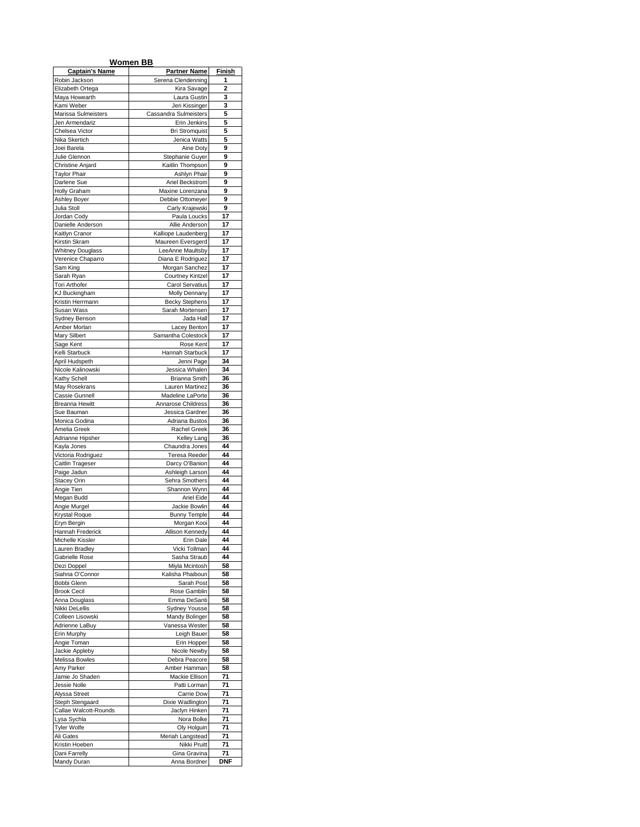|                                              | Women BB                                |            |
|----------------------------------------------|-----------------------------------------|------------|
| <b>Captain's Name</b>                        | <b>Partner Name</b>                     | Finish     |
| Robin Jackson                                | Serena Clendenning                      | 1          |
| Elizabeth Ortega                             | Kira Savage                             | 2          |
| Maya Howearth                                | Laura Gustin                            | 3<br>3     |
| Kami Weber<br>Marissa Sulmeisters            | Jeri Kissinger<br>Cassandra Sulmeisters | 5          |
| Jen Armendariz                               | Erin Jenkins                            | 5          |
| Chelsea Victor                               | <b>Bri Stromquist</b>                   | 5          |
| Nika Skertich                                | Jenica Watts                            | 5          |
| Joei Barela                                  | Aine Doty                               | 9          |
| Julie Glennon                                | Stephanie Guyer                         | 9          |
| Christine Anjard<br><b>Taylor Phair</b>      | Kaitlin Thompson<br>Ashlyn Phair        | 9<br>9     |
| Darlene Sue                                  | Ariel Beckstrom                         | 9          |
| <b>Holly Graham</b>                          | Maxine Lorenzana                        | 9          |
| Ashley Boyer                                 | Debbie Ottomeyer                        | 9          |
| Julia Stoll                                  | Carly Krajewski                         | 9          |
| Jordan Cody                                  | Paula Loucks                            | 17         |
| Danielle Anderson                            | Allie Anderson                          | 17         |
| Kaitlyn Cranor                               | Kalliope Laudenberg                     | 17         |
| Kirstin Skram                                | Maureen Eversgerd                       | 17         |
| <b>Whitney Douglass</b><br>Verenice Chaparro | LeeAnne Maultsby<br>Diana E Rodriguez   | 17<br>17   |
| Sam King                                     | Morgan Sanchez                          | 17         |
| Sarah Ryan                                   | <b>Courtney Kintzel</b>                 | 17         |
| Tori Arthofer                                | Carol Servatius                         | 17         |
| <b>KJ Buckingham</b>                         | Molly Dennany                           | 17         |
| Kristin Herrmann                             | <b>Becky Stephens</b>                   | 17         |
| Susan Wass                                   | Sarah Mortensen                         | 17         |
| Sydney Benson                                | Jada Hall                               | 17         |
| Amber Morlan<br>Mary Silbert                 | Lacey Benton<br>Samantha Colestock      | 17<br>17   |
| Sage Kent                                    | Rose Kent                               | 17         |
| Kelli Starbuck                               | Hannah Starbuck                         | 17         |
| April Hudspeth                               | Jenni Page                              | 34         |
| Nicole Kalinowski                            | Jessica Whalen                          | 34         |
| Kathy Schell                                 | Brianna Smith                           | 36         |
| May Rosekrans                                | Lauren Martinez                         | 36         |
| Cassie Gunnell                               | Madeline LaPorte                        | 36         |
| Breanna Hewitt                               | Annarose Childress                      | 36         |
| Sue Bauman                                   | Jessica Gardner                         | 36<br>36   |
| Monica Godina<br>Amelia Greek                | Adriana Bustos<br>Rachel Greek          | 36         |
| Adrianne Hipsher                             | Kelley Lang                             | 36         |
| Kayla Jones                                  | Chaundra Jones                          | 44         |
| Victoria Rodriguez                           | <b>Teresa Reeder</b>                    | 44         |
| Caitlin Trageser                             | Darcy O'Banion                          | 44         |
| Paige Jadun                                  | Ashleigh Larson                         | 44         |
| <b>Stacey Orin</b>                           | Sehra Smothers                          | 44         |
| Angie Tien<br>Megan Budd                     | Shannon Wynn<br>Ariel Eide              | 44<br>44   |
| Angie Murgel                                 | Jackie Bowlin                           | 44         |
| Krystal Roque                                | <b>Bunny Temple</b>                     | 44         |
| Eryn Bergin                                  | Morgan Kooi                             | 44         |
| Hannah Frederick                             | Allison Kennedy                         | 44         |
| Michelle Kissler                             | Erin Dale                               | 44         |
| Lauren Bradley                               | Vicki Tollman                           | 44         |
| Gabrielle Rose                               | Sasha Straub                            | 44         |
| Dezi Doppel                                  | Miyla Mcintosh                          | 58<br>58   |
| Siahna O'Connor<br>Bobbi Glenn               | Kalisha Phaiboun<br>Sarah Post          | 58         |
| <b>Brook Cecil</b>                           | Rose Gamblin                            | 58         |
| Anna Douglass                                | Emma DeSanti                            | 58         |
| Nikki DeLellis                               | Sydney Yousse                           | 58         |
| Colleen Lisowski                             | Mandy Bolinger                          | 58         |
| Adrienne LaBuy                               | Vanessa Wester                          | 58         |
| Erin Murphy                                  | Leigh Bauer                             | 58         |
| Angie Toman                                  | Erin Hopper                             | 58         |
| Jackie Appleby<br><b>Melissa Bowles</b>      | Nicole Newby<br>Debra Peacore           | 58<br>58   |
| Amy Parker                                   | Amber Hamman                            | 58         |
| Jamie Jo Shaden                              | Mackie Ellison                          | 71         |
| Jessie Nolle                                 | Patti Lorman                            | 71         |
| Alyssa Street                                | Carrie Dow                              | 71         |
| Steph Stengaard                              | Dixie Wadlington                        | 71         |
| Callae Walcott-Rounds                        | Jaclyn Hinken                           | 71         |
| Lysa Sychla                                  | Nora Bolke                              | 71         |
| <b>Tyler Wolfe</b>                           | Oly Holguin<br>Meriah Langstead         | 71<br>71   |
| Ali Gates<br>Kristin Hoeben                  | Nikki Pruitt                            | 71         |
| Dani Farrelly                                | Gina Gravina                            | 71         |
| Mandy Duran                                  | Anna Bordner                            | <b>DNF</b> |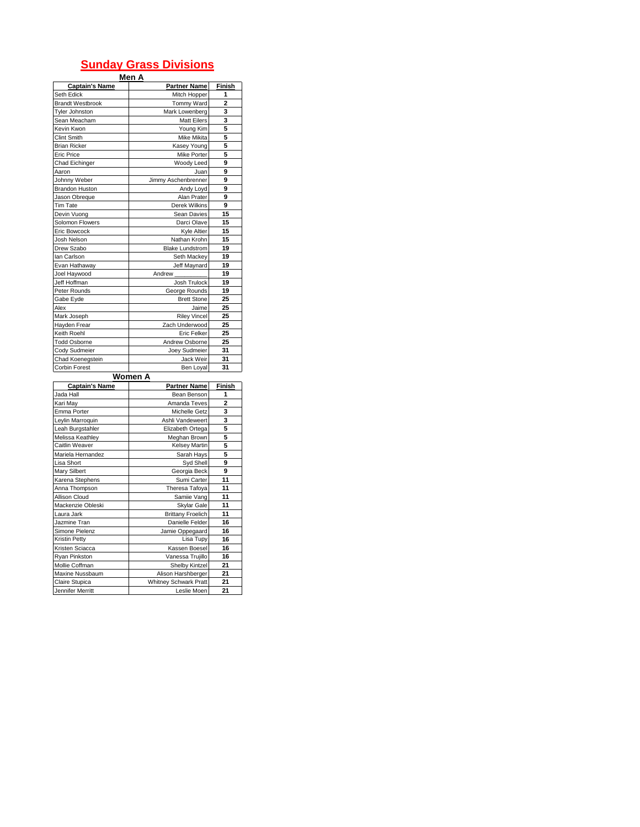## **Sunday Grass Divisions**

| Men A |  |
|-------|--|
|       |  |

| <b>Captain's Name</b>   | <b>Partner Name</b>    | Finish         |
|-------------------------|------------------------|----------------|
| Seth Edick              | Mitch Hopper           | 1              |
| <b>Brandt Westbrook</b> | Tommy Ward             | $\overline{2}$ |
| Tyler Johnston          | Mark Lowenberg         | 3              |
| Sean Meacham            | <b>Matt Eilers</b>     | 3              |
| Kevin Kwon              | Young Kim              | 5              |
| Clint Smith             | Mike Mikita            | 5              |
| <b>Brian Ricker</b>     | Kasey Young            | 5              |
| Eric Price              | Mike Porter            | 5              |
| Chad Eichinger          | Woody Leed             | 9              |
| Aaron                   | Juan                   | 9              |
| Johnny Weber            | Jimmy Aschenbrenner    | 9              |
| <b>Brandon Huston</b>   | Andy Loyd              | 9              |
| Jason Obreque           | Alan Prater            | 9              |
| <b>Tim Tate</b>         | Derek Wilkins          | 9              |
| Devin Vuong             | Sean Davies            | 15             |
| Solomon Flowers         | Darci Olave            | 15             |
| Eric Bowcock            | Kyle Altier            | 15             |
| Josh Nelson             | Nathan Krohn           | 15             |
| Drew Szabo              | <b>Blake Lundstrom</b> | 19             |
| lan Carlson             | Seth Mackey            | 19             |
| Evan Hathaway           | Jeff Maynard           | 19             |
| Joel Haywood            | Andrew                 | 19             |
| Jeff Hoffman            | Josh Trulock           | 19             |
| Peter Rounds            | George Rounds          | 19             |
| Gabe Eyde               | <b>Brett Stone</b>     | 25             |
| Alex                    | Jaime                  | 25             |
| Mark Joseph             | <b>Riley Vincel</b>    | 25             |
| Hayden Frear            | Zach Underwood         | 25             |
| Keith Roehl             | Eric Felker            | 25             |
| <b>Todd Osborne</b>     | Andrew Osborne         | 25             |
| Cody Sudmeier           | Joey Sudmeier          | 31             |
| Chad Koenegstein        | Jack Weir              | 31             |
| Corbin Forest           | Ben Loyal              | 31             |
|                         | Women A                |                |
| <b>Captain's Name</b>   | <b>Partner Name</b>    | Finish         |
| <b>Jada Hall</b>        | Rean Renson            | 1              |

| Gaptain's Name    | raftief Naffle               | гшэн           |
|-------------------|------------------------------|----------------|
| Jada Hall         | Bean Benson                  | 1              |
| Kari May          | Amanda Teves                 | $\overline{a}$ |
| Emma Porter       | Michelle Getz                | 3              |
| Leylin Marroquin  | Ashli Vandeweert             | 3              |
| Leah Burgstahler  | Elizabeth Ortega             | 5              |
| Melissa Keathley  | Meghan Brown                 | 5              |
| Caitlin Weaver    | Kelsey Martin                | 5              |
| Mariela Hernandez | Sarah Hays                   | 5              |
| Lisa Short        | Syd Shell                    | 9              |
| Mary Silbert      | Georgia Beck                 | 9              |
| Karena Stephens   | Sumi Carter                  | 11             |
| Anna Thompson     | Theresa Tafoya               | 11             |
| Allison Cloud     | Samiie Vang                  | 11             |
| Mackenzie Obleski | Skylar Gale                  | 11             |
| Laura Jark        | <b>Brittany Froelich</b>     | 11             |
| Jazmine Tran      | Danielle Felder              | 16             |
| Simone Pielenz    | Jamie Oppegaard              | 16             |
| Kristin Petty     | Lisa Tupy                    | 16             |
| Kristen Sciacca   | Kassen Boesel                | 16             |
| Ryan Pinkston     | Vanessa Trujillo             | 16             |
| Mollie Coffman    | Shelby Kintzel               | 21             |
| Maxine Nussbaum   | Alison Harshberger           | 21             |
| Claire Stupica    | <b>Whitney Schwark Pratt</b> | 21             |
| Jennifer Merritt  | Leslie Moen                  | 21             |